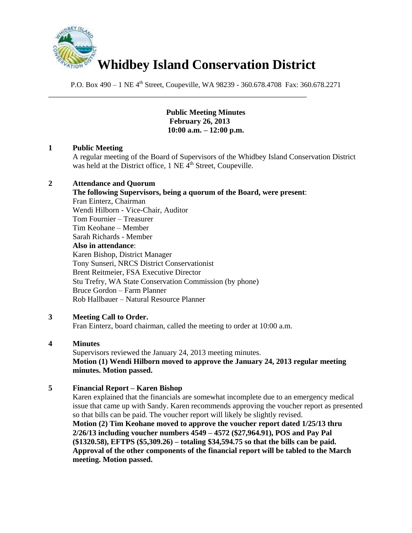

\_\_\_\_\_\_\_\_\_\_\_\_\_\_\_\_\_\_\_\_\_\_\_\_\_\_\_\_\_\_\_\_\_\_\_\_\_\_\_\_\_\_\_\_\_\_\_\_\_\_\_\_\_\_\_\_\_\_\_\_\_\_\_\_

P.O. Box 490 – 1 NE 4<sup>th</sup> Street, Coupeville, WA 98239 - 360.678.4708 Fax: 360.678.2271

**Public Meeting Minutes February 26, 2013 10:00 a.m. – 12:00 p.m.**

# **1 Public Meeting**

A regular meeting of the Board of Supervisors of the Whidbey Island Conservation District was held at the District office,  $1$  NE  $\tilde{4}^{th}$  Street, Coupeville.

## **2 Attendance and Quorum**

**The following Supervisors, being a quorum of the Board, were present**: Fran Einterz, Chairman Wendi Hilborn - Vice-Chair, Auditor Tom Fournier – Treasurer Tim Keohane – Member Sarah Richards - Member **Also in attendance**: Karen Bishop, District Manager Tony Sunseri, NRCS District Conservationist Brent Reitmeier, FSA Executive Director Stu Trefry, WA State Conservation Commission (by phone) Bruce Gordon – Farm Planner Rob Hallbauer – Natural Resource Planner

## **3 Meeting Call to Order.**

Fran Einterz, board chairman, called the meeting to order at 10:00 a.m.

# **4 Minutes**

Supervisors reviewed the January 24, 2013 meeting minutes. **Motion (1) Wendi Hilborn moved to approve the January 24, 2013 regular meeting minutes. Motion passed.**

## **5 Financial Report – Karen Bishop**

Karen explained that the financials are somewhat incomplete due to an emergency medical issue that came up with Sandy. Karen recommends approving the voucher report as presented so that bills can be paid. The voucher report will likely be slightly revised. **Motion (2) Tim Keohane moved to approve the voucher report dated 1/25/13 thru 2/26/13 including voucher numbers 4549 – 4572 (\$27,964.91), POS and Pay Pal (\$1320.58), EFTPS (\$5,309.26) – totaling \$34,594.75 so that the bills can be paid. Approval of the other components of the financial report will be tabled to the March meeting. Motion passed.**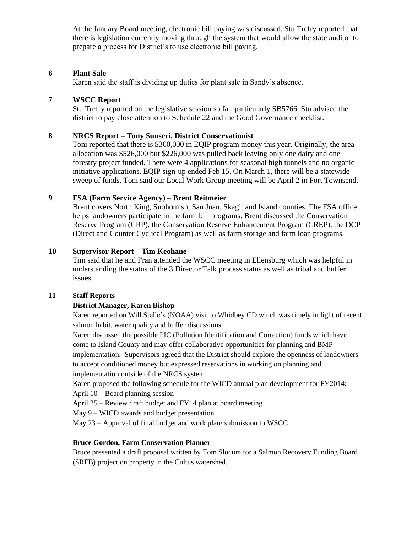At the January Board meeting, electronic bill paying was discussed. Stu Trefry reported that there is legislation currently moving through the system that would allow the state auditor to prepare a process for District's to use electronic bill paying.

### **6 Plant Sale**

Karen said the staff is dividing up duties for plant sale in Sandy's absence.

### **7 WSCC Report**

Stu Trefry reported on the legislative session so far, particularly SB5766. Stu advised the district to pay close attention to Schedule 22 and the Good Governance checklist.

### **8 NRCS Report – Tony Sunseri, District Conservationist**

Toni reported that there is \$300,000 in EQIP program money this year. Originally, the area allocation was \$526,000 but \$226,000 was pulled back leaving only one dairy and one forestry project funded. There were 4 applications for seasonal high tunnels and no organic initiative applications. EQIP sign-up ended Feb 15. On March 1, there will be a statewide sweep of funds. Toni said our Local Work Group meeting will be April 2 in Port Townsend.

# **9 FSA (Farm Service Agency) – Brent Reitmeier**

Brent covers North King, Snohomish, San Juan, Skagit and Island counties. The FSA office helps landowners participate in the farm bill programs. Brent discussed the Conservation Reserve Program (CRP), the Conservation Reserve Enhancement Program (CREP), the DCP (Direct and Counter Cyclical Program) as well as farm storage and farm loan programs.

### **10 Supervisor Report – Tim Keohane**

Tim said that he and Fran attended the WSCC meeting in Ellensburg which was helpful in understanding the status of the 3 Director Talk process status as well as tribal and buffer issues.

#### **11 Staff Reports**

## **District Manager, Karen Bishop**

Karen reported on Will Stelle's (NOAA) visit to Whidbey CD which was timely in light of recent salmon habit, water quality and buffer discussions.

Karen discussed the possible PIC (Pollution Identification and Correction) funds which have come to Island County and may offer collaborative opportunities for planning and BMP implementation. Supervisors agreed that the District should explore the openness of landowners to accept conditioned money but expressed reservations in working on planning and implementation outside of the NRCS system.

Karen proposed the following schedule for the WICD annual plan development for FY2014:

April 10 – Board planning session

April 25 – Review draft budget and FY14 plan at board meeting

May 9 – WICD awards and budget presentation

May 23 – Approval of final budget and work plan/ submission to WSCC

#### **Bruce Gordon, Farm Conservation Planner**

Bruce presented a draft proposal written by Tom Slocum for a Salmon Recovery Funding Board (SRFB) project on property in the Cultus watershed.